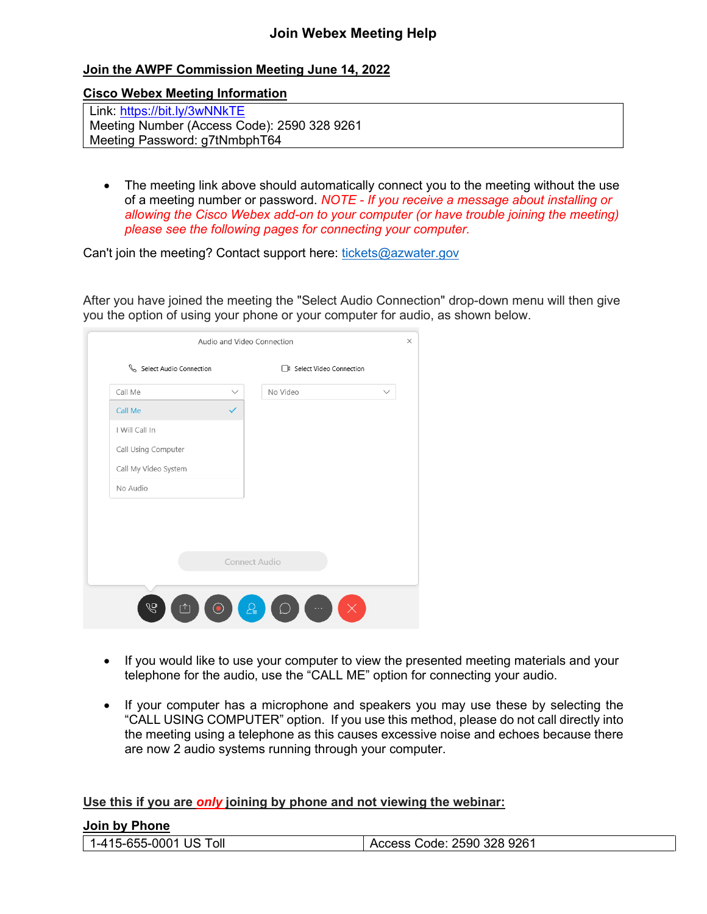## **Join Webex Meeting Help**

## **Join the AWPF Commission Meeting June 14, 2022**

**Cisco Webex Meeting Information**

Link:<https://bit.ly/3wNNkTE> Meeting Number (Access Code): 2590 328 9261 Meeting Password: g7tNmbphT64

• The meeting link above should automatically connect you to the meeting without the use of a meeting number or password. *NOTE - If you receive a message about installing or allowing the Cisco Webex add-on to your computer (or have trouble joining the meeting) please see the following pages for connecting your computer.* 

Can't join the meeting? Contact support here: [tickets@azwater.gov](mailto:tickets@azwater.gov)

After you have joined the meeting the "Select Audio Connection" drop-down menu will then give you the option of using your phone or your computer for audio, as shown below.

| Call Me              | $\checkmark$ | No Video      |  |
|----------------------|--------------|---------------|--|
| Call Me              | $\checkmark$ |               |  |
| I Will Call In       |              |               |  |
| Call Using Computer  |              |               |  |
| Call My Video System |              |               |  |
| No Audio             |              |               |  |
|                      |              |               |  |
|                      |              |               |  |
|                      |              |               |  |
|                      |              | Connect Audio |  |
|                      |              |               |  |

- If you would like to use your computer to view the presented meeting materials and your telephone for the audio, use the "CALL ME" option for connecting your audio.
- If your computer has a microphone and speakers you may use these by selecting the "CALL USING COMPUTER" option. If you use this method, please do not call directly into the meeting using a telephone as this causes excessive noise and echoes because there are now 2 audio systems running through your computer.

**Use this if you are** *only* **joining by phone and not viewing the webinar:**

**Join by Phone**

|  | <b>UUIII DY LIIUIG</b> |                            |
|--|------------------------|----------------------------|
|  | 1-415-655-0001 US Toll | Access Code: 2590 328 9261 |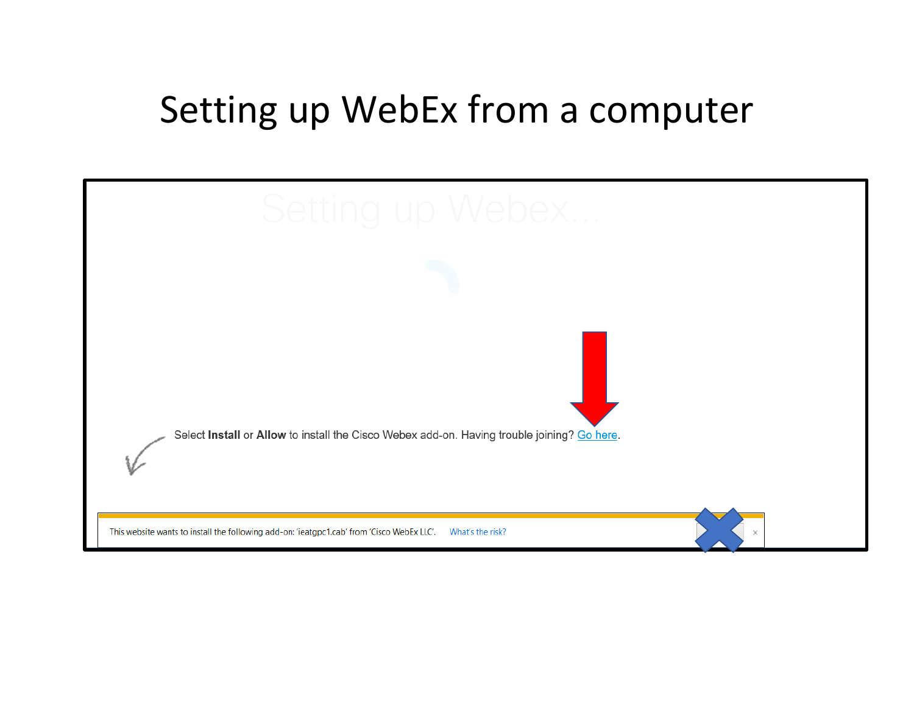## Setting up WebEx from a computer

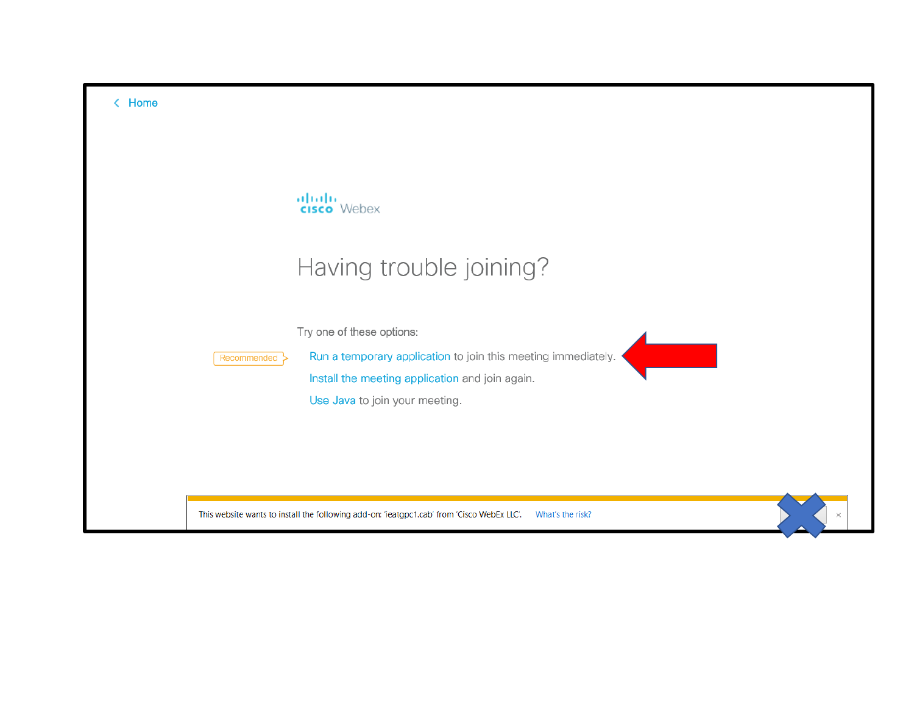| < Home |                                                                                                                                                                                                |
|--------|------------------------------------------------------------------------------------------------------------------------------------------------------------------------------------------------|
|        | alulu<br><b>cisco</b> Webex<br>Having trouble joining?                                                                                                                                         |
|        | Try one of these options:<br>Run a temporary application to join this meeting immediately.<br>Recommended<br>Install the meeting application and join again.<br>Use Java to join your meeting. |
|        | This website wants to install the following add-on: 'ieatgpc1.cab' from 'Cisco WebEx LLC'.<br>What's the risk?                                                                                 |